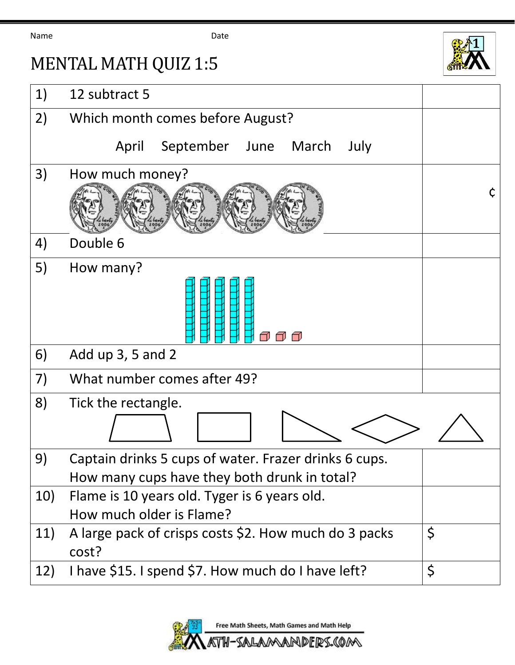Name **Date Date** 

## MENTAL MATH QUIZ 1:5



## 1) 12 subtract 5 2) Which month comes before August? April September June March July 3) How much money? ¢ 4) Double 6 5) How many? า ก ก 6) Add up 3, 5 and 2 7) What number comes after 49? 8) Tick the rectangle. 9) Captain drinks 5 cups of water. Frazer drinks 6 cups. How many cups have they both drunk in total? 10) Flame is 10 years old. Tyger is 6 years old. How much older is Flame? 11) A large pack of crisps costs \$2. How much do 3 packs \$ cost? 12) I have \$15. I spend \$7. How much do I have left?  $\vert \xi \vert$